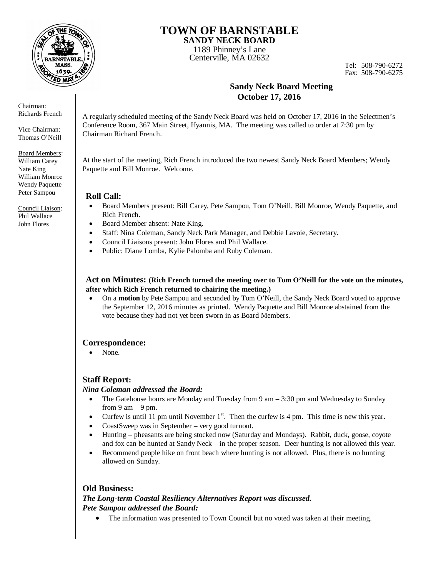

#### Chairman: Richards French

Vice Chairman: Thomas O'Neill

Board Members: William Carey Nate King William Monroe Wendy Paquette Peter Sampou

Council Liaison: Phil Wallace John Flores

# **TOWN OF BARNSTABLE SANDY NECK BOARD**

1189 Phinney's Lane Centerville, MA 02632

Tel: 508-790-6272 Fax: 508-790-6275

# **Sandy Neck Board Meeting October 17, 2016**

A regularly scheduled meeting of the Sandy Neck Board was held on October 17, 2016 in the Selectmen's Conference Room, 367 Main Street, Hyannis, MA. The meeting was called to order at 7:30 pm by Chairman Richard French.

At the start of the meeting, Rich French introduced the two newest Sandy Neck Board Members; Wendy Paquette and Bill Monroe. Welcome.

## **Roll Call:**

- Board Members present: Bill Carey, Pete Sampou, Tom O'Neill, Bill Monroe, Wendy Paquette, and Rich French.
- Board Member absent: Nate King.
- Staff: Nina Coleman, Sandy Neck Park Manager, and Debbie Lavoie, Secretary.
- Council Liaisons present: John Flores and Phil Wallace.
- Public: Diane Lomba, Kylie Palomba and Ruby Coleman.

### **Act on Minutes: (Rich French turned the meeting over to Tom O'Neill for the vote on the minutes, after which Rich French returned to chairing the meeting.)**

 On a **motion** by Pete Sampou and seconded by Tom O'Neill, the Sandy Neck Board voted to approve the September 12, 2016 minutes as printed. Wendy Paquette and Bill Monroe abstained from the vote because they had not yet been sworn in as Board Members.

## **Correspondence:**

• None.

# **Staff Report:**

### *Nina Coleman addressed the Board:*

- The Gatehouse hours are Monday and Tuesday from  $9 \text{ am} 3:30 \text{ pm}$  and Wednesday to Sunday from 9 am  $-$  9 pm.
- Curfew is until 11 pm until November  $1<sup>st</sup>$ . Then the curfew is 4 pm. This time is new this year.
- CoastSweep was in September very good turnout.
- Hunting pheasants are being stocked now (Saturday and Mondays). Rabbit, duck, goose, coyote and fox can be hunted at Sandy Neck – in the proper season. Deer hunting is not allowed this year.
- Recommend people hike on front beach where hunting is not allowed. Plus, there is no hunting allowed on Sunday.

# **Old Business:**

## *The Long-term Coastal Resiliency Alternatives Report was discussed. Pete Sampou addressed the Board:*

• The information was presented to Town Council but no voted was taken at their meeting.